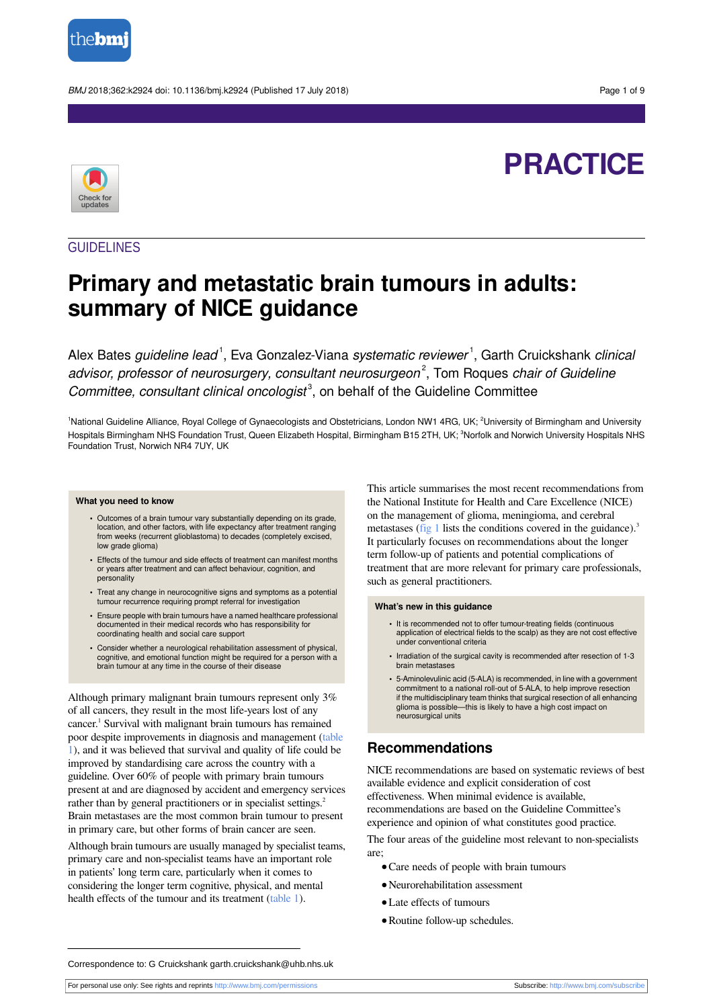

BMJ 2018;362:k2924 doi: 10.1136/bmj.k2924 (Published 17 July 2018) end to the control of 9 Page 1 of 9

# **PRACTICE**



## GUIDELINES

## **Primary and metastatic brain tumours in adults: summary of NICE guidance**

Alex Bates *guideline lead* <sup>1</sup>, Eva Gonzalez-Viana *systematic reviewer* <sup>1</sup>, Garth Cruickshank *clinical* advisor, professor of neurosurgery, consultant neurosurgeon<sup>2</sup>, Tom Roques chair of Guideline Committee, consultant clinical oncologist<sup>3</sup>, on behalf of the Guideline Committee

<sup>1</sup>National Guideline Alliance, Royal College of Gynaecologists and Obstetricians, London NW1 4RG, UK; <sup>2</sup>University of Birmingham and University Hospitals Birmingham NHS Foundation Trust, Queen Elizabeth Hospital, Birmingham B15 2TH, UK; <sup>3</sup>Norfolk and Norwich University Hospitals NHS Foundation Trust, Norwich NR4 7UY, UK

#### **What you need to know**

- **•** Outcomes of a brain tumour vary substantially depending on its grade, location, and other factors, with life expectancy after treatment ranging from weeks (recurrent glioblastoma) to decades (completely excised, low grade glioma)
- **•** Effects of the tumour and side effects of treatment can manifest months or years after treatment and can affect behaviour, cognition, and personality
- **•** Treat any change in neurocognitive signs and symptoms as a potential tumour recurrence requiring prompt referral for investigation
- **•** Ensure people with brain tumours have a named healthcare professional documented in their medical records who has responsibility for coordinating health and social care support
- **•** Consider whether a neurological rehabilitation assessment of physical, cognitive, and emotional function might be required for a person with a brain tumour at any time in the course of their disease

Although primary malignant brain tumours represent only 3% of all cancers, they result in the most life-years lost of any cancer. 1 Survival with malignant brain tumours has remained poor despite improvements in diagnosis and management [\(table](#page-5-0) [1](#page-5-0)), and it was believed that survival and quality of life could be improved by standardising care across the country with a guideline. Over 60% of people with primary brain tumours present at and are diagnosed by accident and emergency services rather than by general practitioners or in specialist settings.<sup>2</sup> Brain metastases are the most common brain tumour to present in primary care, but other forms of brain cancer are seen.

Although brain tumours are usually managed by specialist teams, primary care and non-specialist teams have an important role in patients' long term care, particularly when it comes to considering the longer term cognitive, physical, and mental health effects of the tumour and its treatment ([table 1\)](#page-5-0).

This article summarises the most recent recommendations from the National Institute for Health and Care Excellence (NICE) on the management of glioma, meningioma, and cerebral metastases ([fig 1](#page-8-0) lists the conditions covered in the guidance).<sup>3</sup> It particularly focuses on recommendations about the longer term follow-up of patients and potential complications of treatment that are more relevant for primary care professionals, such as general practitioners.

#### **What's new in this guidance**

- **•** It is recommended not to offer tumour-treating fields (continuous application of electrical fields to the scalp) as they are not cost effective under conventional criteria
- **•** Irradiation of the surgical cavity is recommended after resection of 1-3 brain metastases
- **•** 5-Aminolevulinic acid (5-ALA) is recommended, in line with a government commitment to a national roll-out of 5-ALA, to help improve resection if the multidisciplinary team thinks that surgical resection of all enhancing glioma is possible—this is likely to have a high cost impact on neurosurgical units

## **Recommendations**

NICE recommendations are based on systematic reviews of best available evidence and explicit consideration of cost effectiveness. When minimal evidence is available, recommendations are based on the Guideline Committee's experience and opinion of what constitutes good practice.

The four areas of the guideline most relevant to non-specialists are;

- **•**Care needs of people with brain tumours
- **•**Neurorehabilitation assessment
- **•**Late effects of tumours
- **•**Routine follow-up schedules.

Correspondence to: G Cruickshank garth.cruickshank@uhb.nhs.uk

For personal use only: See rights and reprints<http://www.bmj.com/permissions> Subscribe: <http://www.bmj.com/subscribe>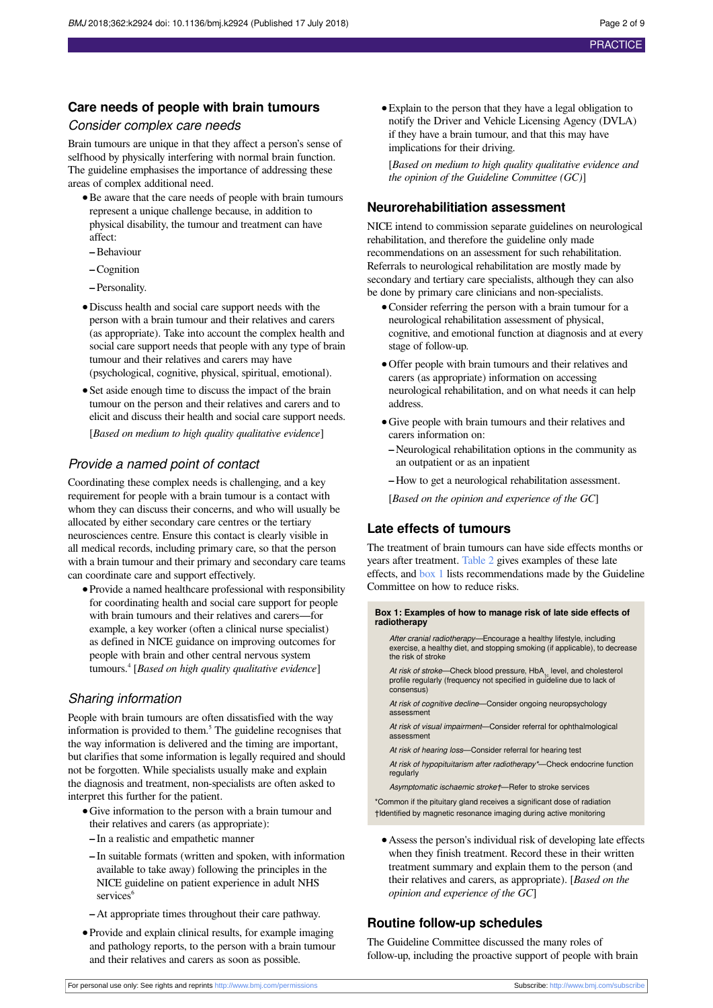## **Care needs of people with brain tumours**

## Consider complex care needs

Brain tumours are unique in that they affect a person's sense of selfhood by physically interfering with normal brain function. The guideline emphasises the importance of addressing these areas of complex additional need.

- **•**Be aware that the care needs of people with brain tumours represent a unique challenge because, in addition to physical disability, the tumour and treatment can have affect:
- **–**Behaviour
- **–**Cognition
- **–** Personality.
- **•**Discuss health and social care support needs with the person with a brain tumour and their relatives and carers (as appropriate). Take into account the complex health and social care support needs that people with any type of brain tumour and their relatives and carers may have (psychological, cognitive, physical, spiritual, emotional).
- **•**Set aside enough time to discuss the impact of the brain tumour on the person and their relatives and carers and to elicit and discuss their health and social care support needs. [*Based on medium to high quality qualitative evidence*]

## Provide a named point of contact

Coordinating these complex needs is challenging, and a key requirement for people with a brain tumour is a contact with whom they can discuss their concerns, and who will usually be allocated by either secondary care centres or the tertiary neurosciences centre. Ensure this contact is clearly visible in all medical records, including primary care, so that the person with a brain tumour and their primary and secondary care teams can coordinate care and support effectively.

**•**Provide a named healthcare professional with responsibility for coordinating health and social care support for people with brain tumours and their relatives and carers—for example, a key worker (often a clinical nurse specialist) as defined in NICE guidance on improving outcomes for people with brain and other central nervous system tumours. 4 [*Based on high quality qualitative evidence*]

## Sharing information

People with brain tumours are often dissatisfied with the way information is provided to them. 5 The guideline recognises that the way information is delivered and the timing are important, but clarifies that some information is legally required and should not be forgotten. While specialists usually make and explain the diagnosis and treatment, non-specialists are often asked to interpret this further for the patient.

- **•**Give information to the person with a brain tumour and their relatives and carers (as appropriate): **–** In a realistic and empathetic manner
	- **–** In suitable formats (written and spoken, with information available to take away) following the principles in the NICE guideline on patient experience in adult NHS services<sup>6</sup>
	- **–** At appropriate times throughout their care pathway.
- **•**Provide and explain clinical results, for example imaging and pathology reports, to the person with a brain tumour and their relatives and carers as soon as possible.

**•**Explain to the person that they have a legal obligation to notify the Driver and Vehicle Licensing Agency (DVLA) if they have a brain tumour, and that this may have implications for their driving.

[*Based on medium to high quality qualitative evidence and the opinion of the Guideline Committee (GC)*]

### **Neurorehabilitiation assessment**

NICE intend to commission separate guidelines on neurological rehabilitation, and therefore the guideline only made recommendations on an assessment for such rehabilitation. Referrals to neurological rehabilitation are mostly made by secondary and tertiary care specialists, although they can also be done by primary care clinicians and non-specialists.

- **•**Consider referring the person with a brain tumour for a neurological rehabilitation assessment of physical, cognitive, and emotional function at diagnosis and at every stage of follow-up.
- **•**Offer people with brain tumours and their relatives and carers (as appropriate) information on accessing neurological rehabilitation, and on what needs it can help address.
- **•**Give people with brain tumours and their relatives and carers information on:
	- **–** Neurological rehabilitation options in the community as an outpatient or as an inpatient
- **–** How to get a neurological rehabilitation assessment.
- [*Based on the opinion and experience of the GC*]

## **Late effects of tumours**

<span id="page-1-0"></span>The treatment of brain tumours can have side effects months or years after treatment. [Table 2](#page-6-0) gives examples of these late effects, and [box 1](#page-1-0) lists recommendations made by the Guideline Committee on how to reduce risks.

**Box 1: Examples of how to manage risk of late side effects of radiotherapy**

After cranial radiotherapy—Encourage a healthy lifestyle, including exercise, a healthy diet, and stopping smoking (if applicable), to decrease the risk of stroke

At risk of stroke—Check blood pressure, HbA<sub>1c</sub> level, and cholesterol profile regularly (frequency not specified in guideline due to lack of consensus)

At risk of cognitive decline-Consider ongoing neuropsychology assessmen

At risk of visual impairment—Consider referral for ophthalmological assessment

At risk of hearing loss-Consider referral for hearing test

At risk of hypopituitarism after radiotherapy\*—Check endocrine function regularly

Asymptomatic ischaemic stroke†—Refer to stroke services

\*Common if the pituitary gland receives a significant dose of radiation †Identified by magnetic resonance imaging during active monitoring

**•**Assess the person's individual risk of developing late effects when they finish treatment. Record these in their written treatment summary and explain them to the person (and their relatives and carers, as appropriate). [*Based on the opinion and experience of the GC*]

## **Routine follow-up schedules**

The Guideline Committee discussed the many roles of follow-up, including the proactive support of people with brain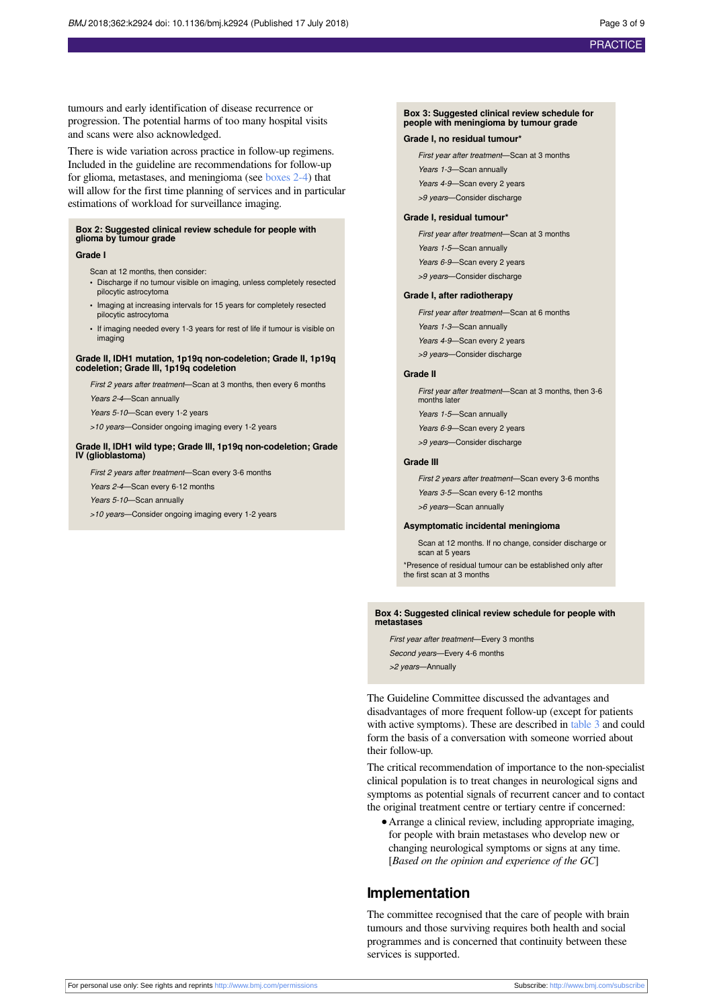tumours and early identification of disease recurrence or progression. The potential harms of too many hospital visits and scans were also acknowledged.

There is wide variation across practice in follow-up regimens. Included in the guideline are recommendations for follow-up for glioma, metastases, and meningioma (see boxes 2-4) that will allow for the first time planning of services and in particular estimations of workload for surveillance imaging.

#### **Box 2: Suggested clinical review schedule for people with glioma by tumour grade**

#### **Grade I**

- Scan at 12 months, then consider:
- **•** Discharge if no tumour visible on imaging, unless completely resected pilocytic astrocytoma
- **•** Imaging at increasing intervals for 15 years for completely resected pilocytic astrocytoma
- **•** If imaging needed every 1-3 years for rest of life if tumour is visible on imaging

#### **Grade II, IDH1 mutation, 1p19q non-codeletion; Grade II, 1p19q codeletion; Grade III, 1p19q codeletion**

First 2 years after treatment—Scan at 3 months, then every 6 months

Years 2-4—Scan annually

- Years 5-10—Scan every 1-2 years
- >10 years—Consider ongoing imaging every 1-2 years

#### **Grade II, IDH1 wild type; Grade III, 1p19q non-codeletion; Grade IV (glioblastoma)**

First 2 years after treatment—Scan every 3-6 months

Years 2-4—Scan every 6-12 months

Years 5-10—Scan annually

>10 years—Consider ongoing imaging every 1-2 years

#### **Box 3: Suggested clinical review schedule for people with meningioma by tumour grade**

#### **Grade I, no residual tumour\***

First year after treatment—Scan at 3 months Years 1-3—Scan annually Years 4-9-Scan every 2 years >9 years—Consider discharge

#### **Grade I, residual tumour\***

First year after treatment—Scan at 3 months Years 1-5-Scan annually Years 6-9-Scan every 2 years >9 years—Consider discharge

#### **Grade I, after radiotherapy**

First year after treatment—Scan at 6 months Years 1-3-Scan annually Years 4-9—Scan every 2 years >9 years—Consider discharge

#### **Grade II**

First year after treatment—Scan at 3 months, then 3-6 months later Years 1-5-Scan annually

Years 6-9—Scan every 2 years

- >9 years—Consider discharge
- 

**Grade III**

First 2 years after treatment—Scan every 3-6 months

Years 3-5-Scan every 6-12 months

>6 years—Scan annually

#### **Asymptomatic incidental meningioma**

Scan at 12 months. If no change, consider discharge or scan at 5 years

\*Presence of residual tumour can be established only after the first scan at 3 months

#### **Box 4: Suggested clinical review schedule for people with metastases**

First year after treatment—Every 3 months Second years—Every 4-6 months >2 years—Annually

The Guideline Committee discussed the advantages and disadvantages of more frequent follow-up (except for patients with active symptoms). These are described in [table 3](#page-7-0) and could form the basis of a conversation with someone worried about their follow-up.

The critical recommendation of importance to the non-specialist clinical population is to treat changes in neurological signs and symptoms as potential signals of recurrent cancer and to contact the original treatment centre or tertiary centre if concerned:

**•**Arrange a clinical review, including appropriate imaging, for people with brain metastases who develop new or changing neurological symptoms or signs at any time. [*Based on the opinion and experience of the GC*]

### **Implementation**

The committee recognised that the care of people with brain tumours and those surviving requires both health and social programmes and is concerned that continuity between these services is supported.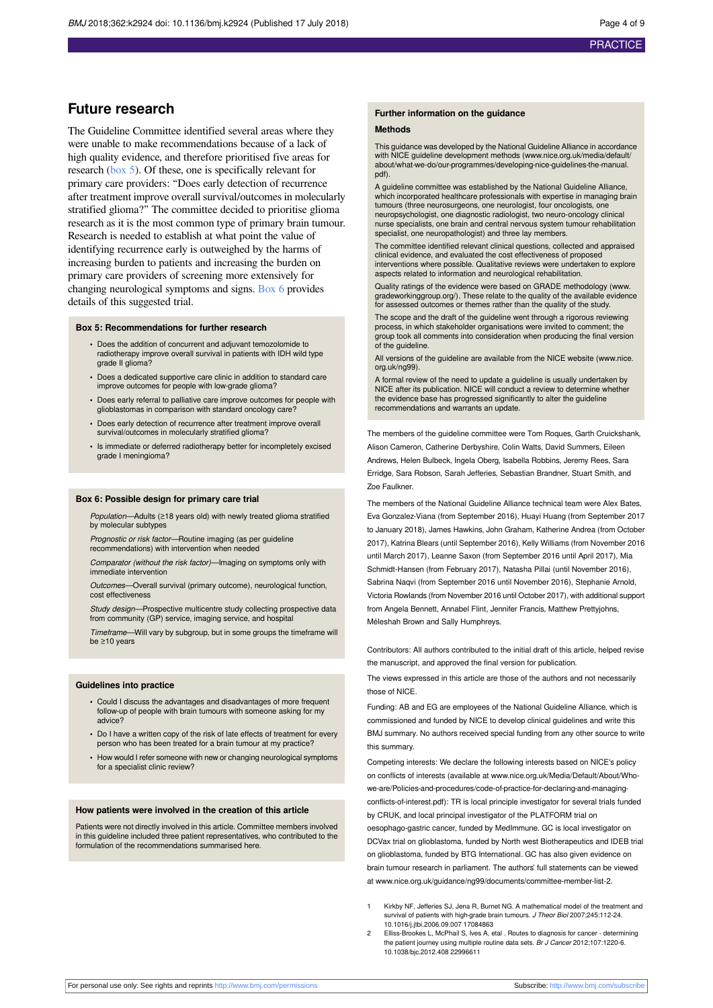## **Future research**

The Guideline Committee identified several areas where they were unable to make recommendations because of a lack of high quality evidence, and therefore prioritised five areas for research [\(box 5\)](#page-3-0). Of these, one is specifically relevant for primary care providers: "Does early detection of recurrence after treatment improve overall survival/outcomes in molecularly stratified glioma?" The committee decided to prioritise glioma research as it is the most common type of primary brain tumour. Research is needed to establish at what point the value of identifying recurrence early is outweighed by the harms of increasing burden to patients and increasing the burden on primary care providers of screening more extensively for changing neurological symptoms and signs. [Box 6](#page-3-1) provides details of this suggested trial.

#### <span id="page-3-0"></span>**Box 5: Recommendations for further research**

- **•** Does the addition of concurrent and adjuvant temozolomide to radiotherapy improve overall survival in patients with IDH wild type grade II glioma?
- **•** Does a dedicated supportive care clinic in addition to standard care improve outcomes for people with low-grade glioma?
- **•** Does early referral to palliative care improve outcomes for people with glioblastomas in comparison with standard oncology care?
- **•** Does early detection of recurrence after treatment improve overall survival/outcomes in molecularly stratified glioma?
- <span id="page-3-1"></span>**•** Is immediate or deferred radiotherapy better for incompletely excised grade I meningioma?

#### **Box 6: Possible design for primary care trial**

Population—Adults (≥18 years old) with newly treated glioma stratified by molecular subtypes

Prognostic or risk factor—Routine imaging (as per guideline recommendations) with intervention when needed

Comparator (without the risk factor)—Imaging on symptoms only with immediate intervention

Outcomes—Overall survival (primary outcome), neurological function, cost effectiveness

Study design—Prospective multicentre study collecting prospective data from community (GP) service, imaging service, and hospital

Timeframe—Will vary by subgroup, but in some groups the timeframe will be ≥10 years

#### **Guidelines into practice**

- **•** Could I discuss the advantages and disadvantages of more frequent follow-up of people with brain tumours with someone asking for my advice?
- **•** Do I have a written copy of the risk of late effects of treatment for every person who has been treated for a brain tumour at my practice?
- **•** How would I refer someone with new or changing neurological symptoms for a specialist clinic review?

#### **How patients were involved in the creation of this article**

Patients were not directly involved in this article. Committee members involved in this guideline included three patient representatives, who contributed to the formulation of the recommendations summarised here.

#### **Further information on the guidance**

#### **Methods**

This guidance was developed by the National Guideline Alliance in accordance with NICE guideline development methods [\(www.nice.org.uk/media/default/](http://www.nice.org.uk/media/default/about/what-we-do/our-programmes/developing-nice-guidelines-the-manual.pdf) [about/what-we-do/our-programmes/developing-nice-guidelines-the-manual.](http://www.nice.org.uk/media/default/about/what-we-do/our-programmes/developing-nice-guidelines-the-manual.pdf) [pdf](http://www.nice.org.uk/media/default/about/what-we-do/our-programmes/developing-nice-guidelines-the-manual.pdf)).

A guideline committee was established by the National Guideline Alliance, which incorporated healthcare professionals with expertise in managing brain tumours (three neurosurgeons, one neurologist, four oncologists, one neuropsychologist, one diagnostic radiologist, two neuro-oncology clinical nurse specialists, one brain and central nervous system tumour rehabilitation specialist, one neuropathologist) and three lay members.

The committee identified relevant clinical questions, collected and appraised clinical evidence, and evaluated the cost effectiveness of proposed interventions where possible. Qualitative reviews were undertaken to explore aspects related to information and neurological rehabilitation.

Quality ratings of the evidence were based on GRADE methodology [\(www.](http://www.gradeworkinggroup.org/) [gradeworkinggroup.org/\)](http://www.gradeworkinggroup.org/). These relate to the quality of the available evidence evidence for assessed outcomes or themes rather than the quality of the study.

The scope and the draft of the guideline went through a rigorous reviewing process, in which stakeholder organisations were invited to comment; the group took all comments into consideration when producing the final version of the guideline.

All versions of the guideline are available from the NICE website ([www.nice.](http://www.nice.org.uk/ng99) [org.uk/ng99](http://www.nice.org.uk/ng99)).

A formal review of the need to update a guideline is usually undertaken by NICE after its publication. NICE will conduct a review to determine whether the evidence base has progressed significantly to alter the guideline recommendations and warrants an update.

The members of the guideline committee were Tom Roques, Garth Cruickshank, Alison Cameron, Catherine Derbyshire, Colin Watts, David Summers, Eileen Andrews, Helen Bulbeck, Ingela Oberg, Isabella Robbins, Jeremy Rees, Sara Erridge, Sara Robson, Sarah Jefferies, Sebastian Brandner, Stuart Smith, and Zoe Faulkner.

The members of the National Guideline Alliance technical team were Alex Bates, Eva Gonzalez-Viana (from September 2016), Huayi Huang (from September 2017 to January 2018), James Hawkins, John Graham, Katherine Andrea (from October 2017), Katrina Blears (until September 2016), Kelly Williams (from November 2016 until March 2017), Leanne Saxon (from September 2016 until April 2017), Mia Schmidt-Hansen (from February 2017), Natasha Pillai (until November 2016), Sabrina Naqvi (from September 2016 until November 2016), Stephanie Arnold, Victoria Rowlands (from November 2016 until October 2017), with additional support from Angela Bennett, Annabel Flint, Jennifer Francis, Matthew Prettyjohns, Méleshah Brown and Sally Humphreys.

Contributors: All authors contributed to the initial draft of this article, helped revise the manuscript, and approved the final version for publication.

The views expressed in this article are those of the authors and not necessarily those of NICF

Funding: AB and EG are employees of the National Guideline Alliance, which is commissioned and funded by NICE to develop clinical guidelines and write this BMJ summary. No authors received special funding from any other source to write this summary.

Competing interests: We declare the following interests based on NICE's policy on conflicts of interests (available at [www.nice.org.uk/Media/Default/About/Who](http://www.nice.org.uk/Media/Default/About/Who-we-are/Policies-and-procedures/code-of-practice-for-declaring-and-managing-conflicts-of-interest.pdf)[we-are/Policies-and-procedures/code-of-practice-for-declaring-and-managing](http://www.nice.org.uk/Media/Default/About/Who-we-are/Policies-and-procedures/code-of-practice-for-declaring-and-managing-conflicts-of-interest.pdf)[conflicts-of-interest.pdf\)](http://www.nice.org.uk/Media/Default/About/Who-we-are/Policies-and-procedures/code-of-practice-for-declaring-and-managing-conflicts-of-interest.pdf): TR is local principle investigator for several trials funded by CRUK, and local principal investigator of the PLATFORM trial on oesophago-gastric cancer, funded by MedImmune. GC is local investigator on DCVax trial on glioblastoma, funded by North west Biotherapeutics and IDEB trial on glioblastoma, funded by BTG International. GC has also given evidence on brain tumour research in parliament. The authors' full statements can be viewed at [www.nice.org.uk/guidance/ng99/documents/committee-member-list-2](http://www.nice.org.uk/guidance/ng99/documents/committee-member-list-2).

- Kirkby NF, Jefferies SJ, Jena R, Burnet NG. A mathematical model of the treatment and survival of patients with high-grade brain tumours. J Theor Biol 2007;245:112-24. 10.1016/j.jtbi.2006.09.007 17084863
- 2 Elliss-Brookes L, McPhail S, Ives A, etal . Routes to diagnosis for cancer determining the patient journey using multiple routine data sets. Br J Cancer 2012;107:1220-6. 10.1038/bjc.2012.408 22996611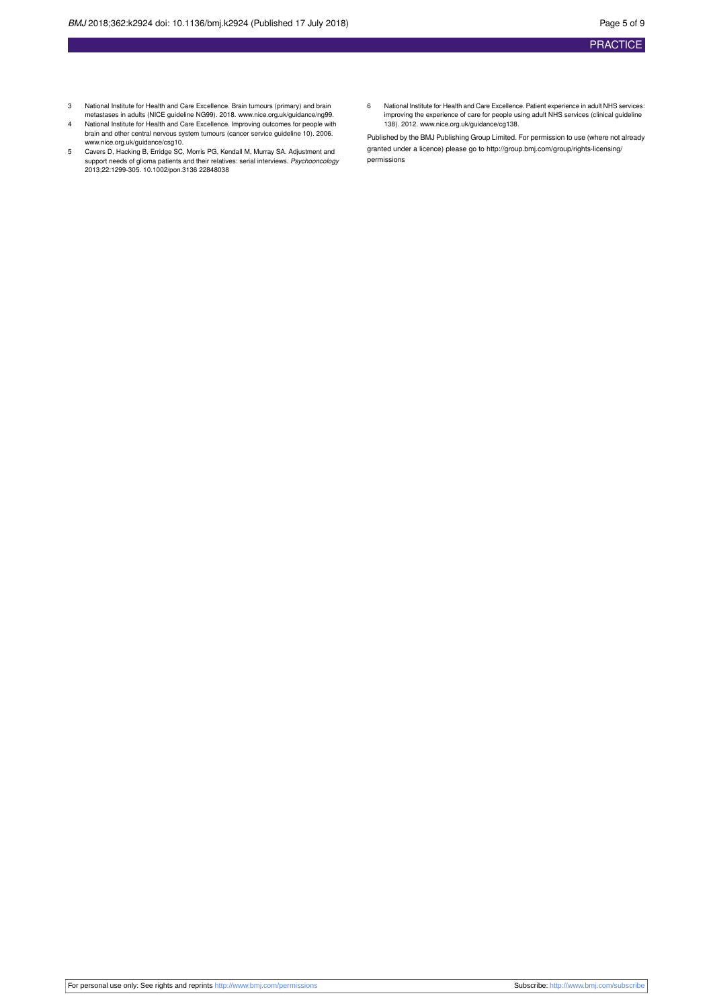- 3 National Institute for Health and Care Excellence. Brain tumours (primary) and brain metastases in adults (NICE guideline NG99). 2018. [www.nice.org.uk/guidance/ng99.](http://www.nice.org.uk/guidance/ng99)
- 4 National Institute for Health and Care Excellence. Improving outcomes for people with brain and other central nervous system tumours (cancer service guideline 10). 2006.
- [www.nice.org.uk/guidance/csg10.](http://www.nice.org.uk/guidance/csg10) 5 Cavers D, Hacking B, Erridge SC, Morris PG, Kendall M, Murray SA. Adjustment and support needs of glioma patients and their relatives: serial interviews. *Psychooncology*<br>2013;22:1299-305. 10.1002/pon.3136 22848038
- 6 National Institute for Health and Care Excellence. Patient experience in adult NHS services: improving the experience of care for people using adult NHS services (clinical guideline 138). 2012. [www.nice.org.uk/guidance/cg138](http://www.nice.org.uk/guidance/cg138).

Published by the BMJ Publishing Group Limited. For permission to use (where not already granted under a licence) please go to [http://group.bmj.com/group/rights-licensing/](http://group.bmj.com/group/rights-licensing/permissions) [permissions](http://group.bmj.com/group/rights-licensing/permissions)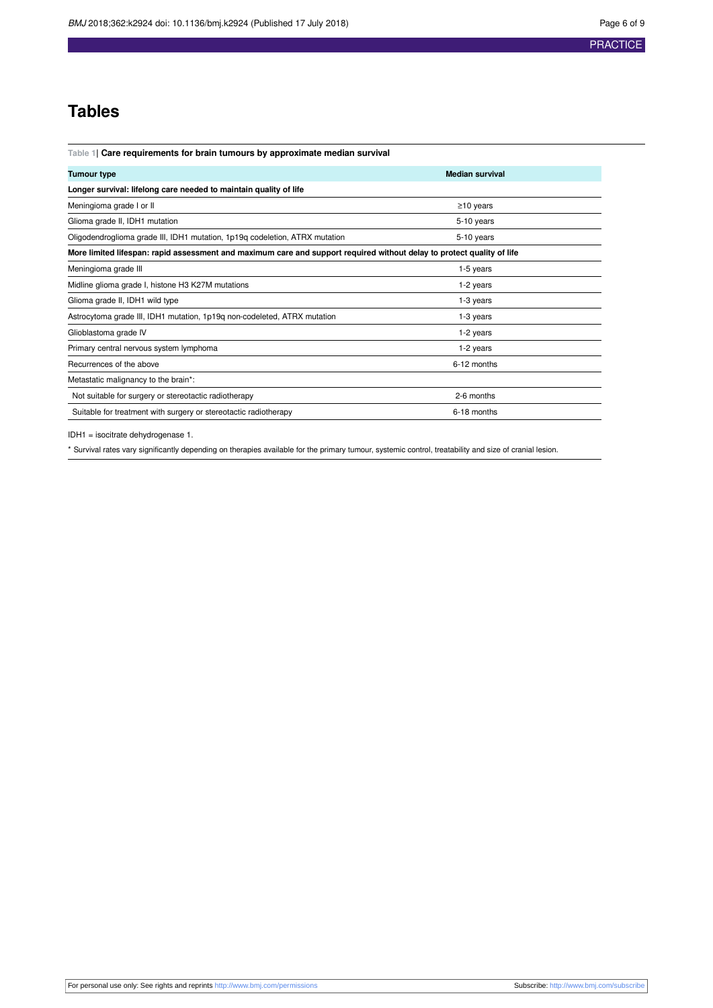## **Tables**

<span id="page-5-0"></span>**Table 1| Care requirements for brain tumours by approximate median survival**

| <b>Tumour type</b>                                                                                                     | <b>Median survival</b> |  |
|------------------------------------------------------------------------------------------------------------------------|------------------------|--|
| Longer survival: lifelong care needed to maintain quality of life                                                      |                        |  |
| Meningioma grade I or II                                                                                               | $\geq$ 10 years        |  |
| Glioma grade II, IDH1 mutation                                                                                         | 5-10 years             |  |
| Oligodendroglioma grade III, IDH1 mutation, 1p19q codeletion, ATRX mutation                                            | 5-10 years             |  |
| More limited lifespan: rapid assessment and maximum care and support required without delay to protect quality of life |                        |  |
| Meningioma grade III                                                                                                   | $1-5$ years            |  |
| Midline glioma grade I, histone H3 K27M mutations                                                                      | 1-2 years              |  |
| Glioma grade II, IDH1 wild type                                                                                        | 1-3 years              |  |
| Astrocytoma grade III, IDH1 mutation, 1p19q non-codeleted, ATRX mutation                                               | 1-3 years              |  |
| Glioblastoma grade IV                                                                                                  | 1-2 years              |  |
| Primary central nervous system lymphoma                                                                                | 1-2 years              |  |
| Recurrences of the above                                                                                               | 6-12 months            |  |
| Metastatic malignancy to the brain*:                                                                                   |                        |  |
| Not suitable for surgery or stereotactic radiotherapy                                                                  | 2-6 months             |  |
| Suitable for treatment with surgery or stereotactic radiotherapy                                                       | 6-18 months            |  |

IDH1 = isocitrate dehydrogenase 1.

\* Survival rates vary significantly depending on therapies available for the primary tumour, systemic control, treatability and size of cranial lesion.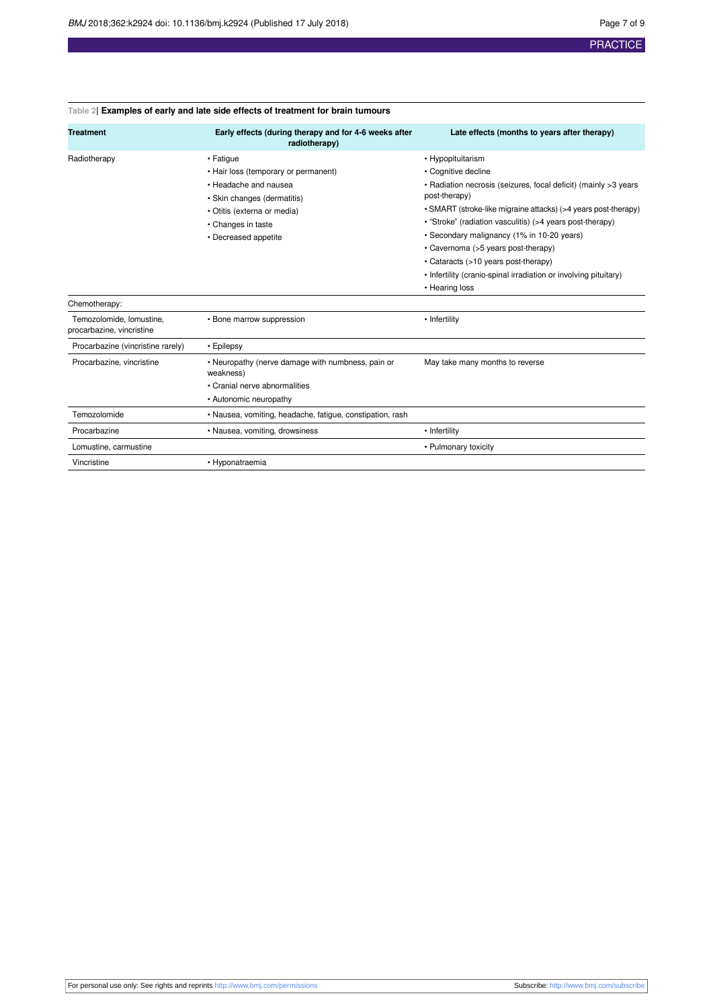| <b>Treatment</b>                                      | Early effects (during therapy and for 4-6 weeks after<br>radiotherapy)                                                                                                                 | Late effects (months to years after therapy)                                                                                                                                                                                                                                                                                                                                                                                                                                   |
|-------------------------------------------------------|----------------------------------------------------------------------------------------------------------------------------------------------------------------------------------------|--------------------------------------------------------------------------------------------------------------------------------------------------------------------------------------------------------------------------------------------------------------------------------------------------------------------------------------------------------------------------------------------------------------------------------------------------------------------------------|
| Radiotherapy                                          | • Fatigue<br>• Hair loss (temporary or permanent)<br>. Headache and nausea<br>• Skin changes (dermatitis)<br>· Otitis (externa or media)<br>• Changes in taste<br>• Decreased appetite | • Hypopituitarism<br>• Cognitive decline<br>• Radiation necrosis (seizures, focal deficit) (mainly >3 years<br>post-therapy)<br>• SMART (stroke-like migraine attacks) (>4 years post-therapy)<br>• "Stroke" (radiation vasculitis) (>4 years post-therapy)<br>• Secondary malignancy (1% in 10-20 years)<br>• Cavernoma (>5 years post-therapy)<br>• Cataracts (>10 years post-therapy)<br>• Infertility (cranio-spinal irradiation or involving pituitary)<br>• Hearing loss |
| Chemotherapy:                                         |                                                                                                                                                                                        |                                                                                                                                                                                                                                                                                                                                                                                                                                                                                |
| Temozolomide, lomustine,<br>procarbazine, vincristine | • Bone marrow suppression                                                                                                                                                              | • Infertility                                                                                                                                                                                                                                                                                                                                                                                                                                                                  |
| Procarbazine (vincristine rarely)                     | • Epilepsy                                                                                                                                                                             |                                                                                                                                                                                                                                                                                                                                                                                                                                                                                |
| Procarbazine, vincristine                             | • Neuropathy (nerve damage with numbness, pain or<br>weakness)<br>• Cranial nerve abnormalities<br>• Autonomic neuropathy                                                              | May take many months to reverse                                                                                                                                                                                                                                                                                                                                                                                                                                                |
| Temozolomide                                          | • Nausea, vomiting, headache, fatigue, constipation, rash                                                                                                                              |                                                                                                                                                                                                                                                                                                                                                                                                                                                                                |
| Procarbazine                                          | • Nausea, vomiting, drowsiness                                                                                                                                                         | • Infertility                                                                                                                                                                                                                                                                                                                                                                                                                                                                  |
| Lomustine, carmustine                                 |                                                                                                                                                                                        | • Pulmonary toxicity                                                                                                                                                                                                                                                                                                                                                                                                                                                           |
| Vincristine                                           | • Hyponatraemia                                                                                                                                                                        |                                                                                                                                                                                                                                                                                                                                                                                                                                                                                |

## <span id="page-6-0"></span>**Table 2| Examples of early and late side effects of treatment for brain tumours**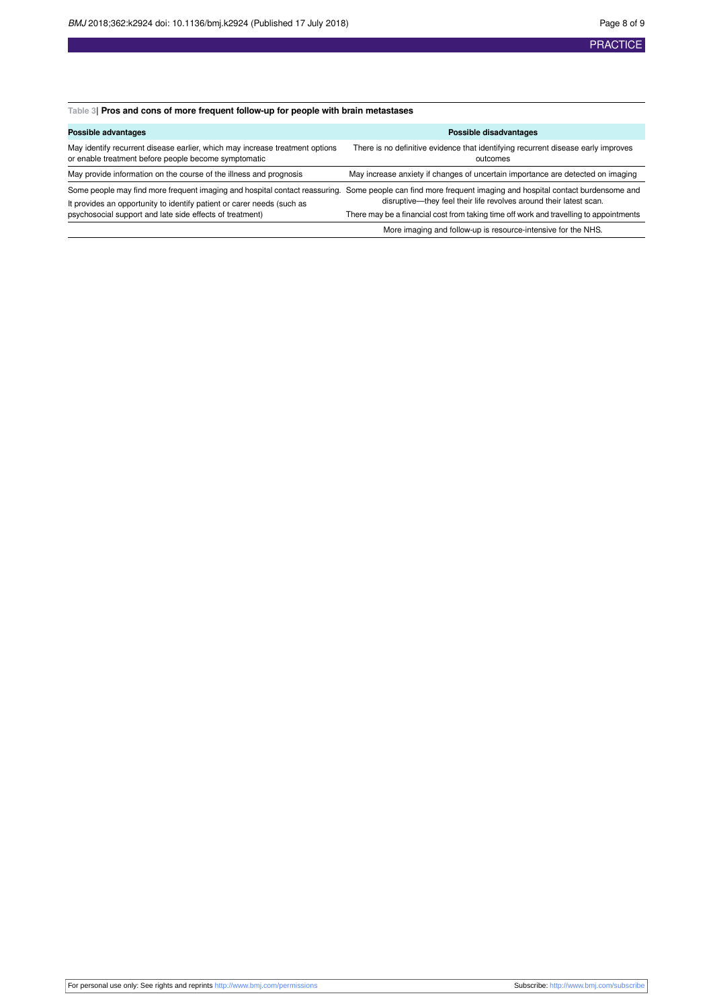## <span id="page-7-0"></span>**Table 3| Pros and cons of more frequent follow-up for people with brain metastases**

| Possible advantages                                                                                                                  | Possible disadvantages                                                                                                                                                                                                           |
|--------------------------------------------------------------------------------------------------------------------------------------|----------------------------------------------------------------------------------------------------------------------------------------------------------------------------------------------------------------------------------|
| May identify recurrent disease earlier, which may increase treatment options<br>or enable treatment before people become symptomatic | There is no definitive evidence that identifying recurrent disease early improves<br>outcomes                                                                                                                                    |
| May provide information on the course of the illness and prognosis                                                                   | May increase anxiety if changes of uncertain importance are detected on imaging                                                                                                                                                  |
| It provides an opportunity to identify patient or carer needs (such as<br>psychosocial support and late side effects of treatment)   | Some people may find more frequent imaging and hospital contact reassuring. Some people can find more frequent imaging and hospital contact burdensome and<br>disruptive—they feel their life revolves around their latest scan. |
|                                                                                                                                      | There may be a financial cost from taking time off work and travelling to appointments                                                                                                                                           |
|                                                                                                                                      | More imaging and follow-up is resource-intensive for the NHS.                                                                                                                                                                    |